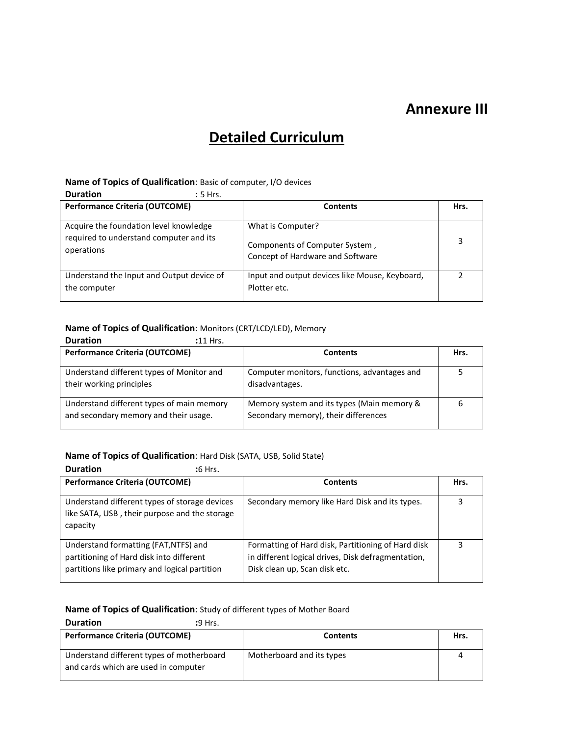## **Annexure III**

# **Detailed Curriculum**

#### **Name of Topics of Qualification**: Basic of computer, I/O devices

**Duration** : 5 Hrs.

| <b>Performance Criteria (OUTCOME)</b>                                                           | <b>Contents</b>                                                                         | Hrs. |
|-------------------------------------------------------------------------------------------------|-----------------------------------------------------------------------------------------|------|
| Acquire the foundation level knowledge<br>required to understand computer and its<br>operations | What is Computer?<br>Components of Computer System,<br>Concept of Hardware and Software | 3    |
| Understand the Input and Output device of<br>the computer                                       | Input and output devices like Mouse, Keyboard,<br>Plotter etc.                          |      |

# **Name of Topics of Qualification:** Monitors (CRT/LCD/LED), Memory

| <b>Duration</b><br>$:11$ Hrs.                                                      |                                                                                    |      |
|------------------------------------------------------------------------------------|------------------------------------------------------------------------------------|------|
| <b>Performance Criteria (OUTCOME)</b>                                              | <b>Contents</b>                                                                    | Hrs. |
| Understand different types of Monitor and<br>their working principles              | Computer monitors, functions, advantages and<br>disadvantages.                     |      |
| Understand different types of main memory<br>and secondary memory and their usage. | Memory system and its types (Main memory &<br>Secondary memory), their differences |      |

### **Name of Topics of Qualification**: Hard Disk (SATA, USB, Solid State)

| <b>Duration</b><br>:6 Hrs.                                                                                                         |                                                                                                                                           |      |
|------------------------------------------------------------------------------------------------------------------------------------|-------------------------------------------------------------------------------------------------------------------------------------------|------|
| <b>Performance Criteria (OUTCOME)</b>                                                                                              | <b>Contents</b>                                                                                                                           | Hrs. |
| Understand different types of storage devices<br>like SATA, USB, their purpose and the storage<br>capacity                         | Secondary memory like Hard Disk and its types.                                                                                            | 3    |
| Understand formatting (FAT, NTFS) and<br>partitioning of Hard disk into different<br>partitions like primary and logical partition | Formatting of Hard disk, Partitioning of Hard disk<br>in different logical drives, Disk defragmentation,<br>Disk clean up, Scan disk etc. | 3    |

#### **Name of Topics of Qualification**: Study of different types of Mother Board

| <b>Duration</b>                                                                   | <b>:</b> 9 Hrs. |                           |      |
|-----------------------------------------------------------------------------------|-----------------|---------------------------|------|
| <b>Performance Criteria (OUTCOME)</b>                                             |                 | <b>Contents</b>           | Hrs. |
| Understand different types of motherboard<br>and cards which are used in computer |                 | Motherboard and its types |      |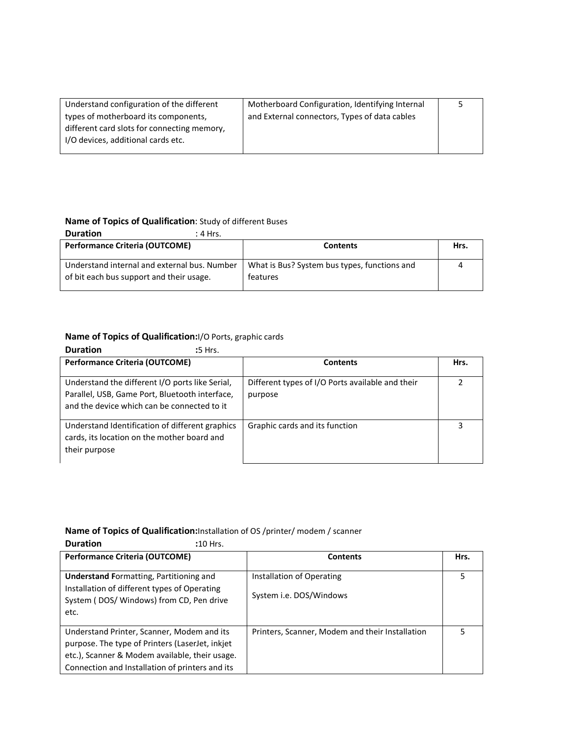| Understand configuration of the different   | Motherboard Configuration, Identifying Internal |  |
|---------------------------------------------|-------------------------------------------------|--|
| types of motherboard its components,        | and External connectors, Types of data cables   |  |
| different card slots for connecting memory, |                                                 |  |
| I/O devices, additional cards etc.          |                                                 |  |
|                                             |                                                 |  |

## **Name of Topics of Qualification**: Study of different Buses

| <b>Duration</b>                                                                          | :4 Hrs. |                                                          |      |
|------------------------------------------------------------------------------------------|---------|----------------------------------------------------------|------|
| <b>Performance Criteria (OUTCOME)</b>                                                    |         | Contents                                                 | Hrs. |
| Understand internal and external bus. Number<br>of bit each bus support and their usage. |         | What is Bus? System bus types, functions and<br>features |      |

# **Name of Topics of Qualification:**I/O Ports, graphic cards

| <b>Duration</b><br>:5 Hrs.                                                                                                                       |                                                             |      |
|--------------------------------------------------------------------------------------------------------------------------------------------------|-------------------------------------------------------------|------|
| <b>Performance Criteria (OUTCOME)</b>                                                                                                            | <b>Contents</b>                                             | Hrs. |
| Understand the different I/O ports like Serial,<br>Parallel, USB, Game Port, Bluetooth interface,<br>and the device which can be connected to it | Different types of I/O Ports available and their<br>purpose | 2    |
| Understand Identification of different graphics<br>cards, its location on the mother board and<br>their purpose                                  | Graphic cards and its function                              | 3    |

## **Name of Topics of Qualification:**Installation of OS /printer/ modem / scanner

| <b>Duration</b><br>$:10$ Hrs.                                                                                                                                                                      |                                                      |      |
|----------------------------------------------------------------------------------------------------------------------------------------------------------------------------------------------------|------------------------------------------------------|------|
| <b>Performance Criteria (OUTCOME)</b>                                                                                                                                                              | <b>Contents</b>                                      | Hrs. |
| <b>Understand Formatting, Partitioning and</b><br>Installation of different types of Operating<br>System (DOS/Windows) from CD, Pen drive<br>etc.                                                  | Installation of Operating<br>System i.e. DOS/Windows | 5    |
| Understand Printer, Scanner, Modem and its<br>purpose. The type of Printers (LaserJet, inkjet<br>etc.), Scanner & Modem available, their usage.<br>Connection and Installation of printers and its | Printers, Scanner, Modem and their Installation      |      |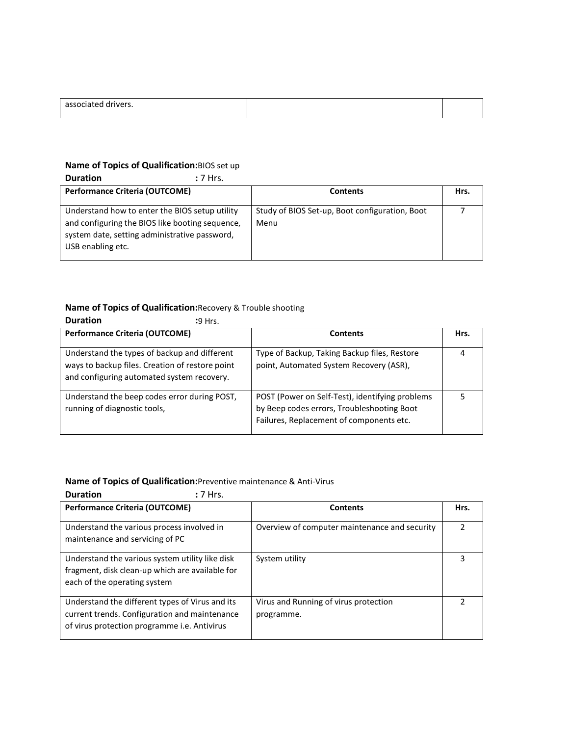| associated<br>rivers.<br>-- |  |
|-----------------------------|--|
|                             |  |

## **Name of Topics of Qualification:**BIOS set up

| <b>Duration</b>                                                                                                                                                         | $:7$ Hrs. |                                                        |      |
|-------------------------------------------------------------------------------------------------------------------------------------------------------------------------|-----------|--------------------------------------------------------|------|
| <b>Performance Criteria (OUTCOME)</b>                                                                                                                                   |           | <b>Contents</b>                                        | Hrs. |
| Understand how to enter the BIOS setup utility<br>and configuring the BIOS like booting sequence,<br>system date, setting administrative password,<br>USB enabling etc. |           | Study of BIOS Set-up, Boot configuration, Boot<br>Menu |      |

## **Name of Topics of Qualification:**Recovery & Trouble shooting

| <b>Duration</b><br>$:9$ Hrs.                                                                                                                  |                                                                                                                                           |      |
|-----------------------------------------------------------------------------------------------------------------------------------------------|-------------------------------------------------------------------------------------------------------------------------------------------|------|
| <b>Performance Criteria (OUTCOME)</b>                                                                                                         | <b>Contents</b>                                                                                                                           | Hrs. |
| Understand the types of backup and different<br>ways to backup files. Creation of restore point<br>and configuring automated system recovery. | Type of Backup, Taking Backup files, Restore<br>point, Automated System Recovery (ASR),                                                   | 4    |
| Understand the beep codes error during POST,<br>running of diagnostic tools,                                                                  | POST (Power on Self-Test), identifying problems<br>by Beep codes errors, Troubleshooting Boot<br>Failures, Replacement of components etc. |      |

### **Name of Topics of Qualification:**Preventive maintenance & Anti-Virus

| <b>Duration</b><br>$: 7$ Hrs.                                                                                                                    |                                                     |      |
|--------------------------------------------------------------------------------------------------------------------------------------------------|-----------------------------------------------------|------|
| Performance Criteria (OUTCOME)                                                                                                                   | <b>Contents</b>                                     | Hrs. |
| Understand the various process involved in<br>maintenance and servicing of PC                                                                    | Overview of computer maintenance and security       |      |
| Understand the various system utility like disk<br>fragment, disk clean-up which are available for<br>each of the operating system               | System utility                                      | 3    |
| Understand the different types of Virus and its<br>current trends. Configuration and maintenance<br>of virus protection programme i.e. Antivirus | Virus and Running of virus protection<br>programme. |      |